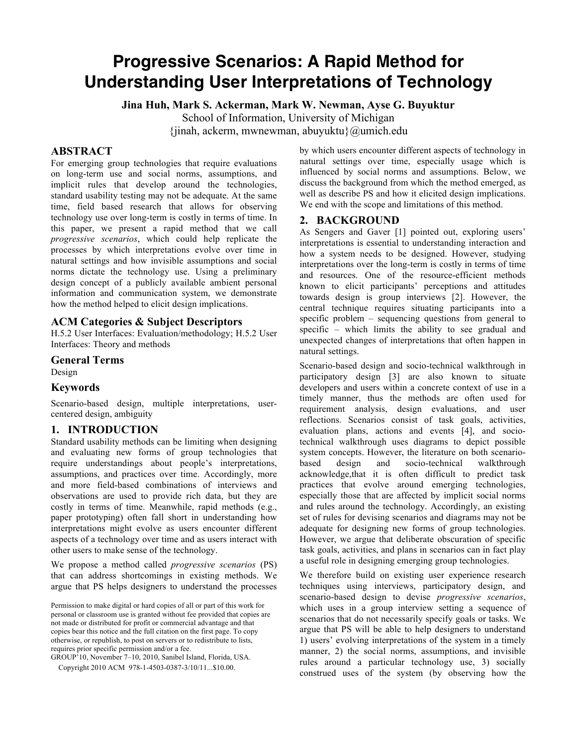# **Progressive Scenarios: A Rapid Method for Understanding User Interpretations of Technology**

**Jina Huh, Mark S. Ackerman, Mark W. Newman, Ayse G. Buyuktur**

School of Information, University of Michigan

 $\{jinah, ackerm, mwnewman, abuvuktu\}\$ @umich.edu

# **ABSTRACT**

For emerging group technologies that require evaluations on long-term use and social norms, assumptions, and implicit rules that develop around the technologies, standard usability testing may not be adequate. At the same time, field based research that allows for observing technology use over long-term is costly in terms of time. In this paper, we present a rapid method that we call *progressive scenarios*, which could help replicate the processes by which interpretations evolve over time in natural settings and how invisible assumptions and social norms dictate the technology use. Using a preliminary design concept of a publicly available ambient personal information and communication system, we demonstrate how the method helped to elicit design implications.

### **ACM Categories & Subject Descriptors**

H.5.2 User Interfaces: Evaluation/methodology; H.5.2 User Interfaces: Theory and methods

**General Terms** Design

#### **Keywords**

Scenario-based design, multiple interpretations, usercentered design, ambiguity

#### **1. INTRODUCTION**

Standard usability methods can be limiting when designing and evaluating new forms of group technologies that require understandings about people's interpretations, assumptions, and practices over time. Accordingly, more and more field-based combinations of interviews and observations are used to provide rich data, but they are costly in terms of time. Meanwhile, rapid methods (e.g., paper prototyping) often fall short in understanding how interpretations might evolve as users encounter different aspects of a technology over time and as users interact with other users to make sense of the technology.

We propose a method called *progressive scenarios* (PS) that can address shortcomings in existing methods. We argue that PS helps designers to understand the processes

Permission to make digital or hard copies of all or part of this work for personal or classroom use is granted without fee provided that copies are not made or distributed for profit or commercial advantage and that copies bear this notice and the full citation on the first page. To copy otherwise, or republish, to post on servers or to redistribute to lists, requires prior specific permission and/or a fee.

GROUP'10, November 7–10, 2010, Sanibel Island, Florida, USA. Copyright 2010 ACM 978-1-4503-0387-3/10/11...\$10.00.

by which users encounter different aspects of technology in natural settings over time, especially usage which is influenced by social norms and assumptions. Below, we discuss the background from which the method emerged, as well as describe PS and how it elicited design implications. We end with the scope and limitations of this method.

#### **2. BACKGROUND**

As Sengers and Gaver [1] pointed out, exploring users' interpretations is essential to understanding interaction and how a system needs to be designed. However, studying interpretations over the long-term is costly in terms of time and resources. One of the resource-efficient methods known to elicit participants' perceptions and attitudes towards design is group interviews [2]. However, the central technique requires situating participants into a specific problem – sequencing questions from general to specific – which limits the ability to see gradual and unexpected changes of interpretations that often happen in natural settings.

Scenario-based design and socio-technical walkthrough in participatory design [3] are also known to situate developers and users within a concrete context of use in a timely manner, thus the methods are often used for requirement analysis, design evaluations, and user reflections. Scenarios consist of task goals, activities, evaluation plans, actions and events [4], and sociotechnical walkthrough uses diagrams to depict possible system concepts. However, the literature on both scenariobased design and socio-technical walkthrough acknowledge,that it is often difficult to predict task practices that evolve around emerging technologies, especially those that are affected by implicit social norms and rules around the technology. Accordingly, an existing set of rules for devising scenarios and diagrams may not be adequate for designing new forms of group technologies. However, we argue that deliberate obscuration of specific task goals, activities, and plans in scenarios can in fact play a useful role in designing emerging group technologies.

We therefore build on existing user experience research techniques using interviews, participatory design, and scenario-based design to devise *progressive scenarios*, which uses in a group interview setting a sequence of scenarios that do not necessarily specify goals or tasks. We argue that PS will be able to help designers to understand 1) users' evolving interpretations of the system in a timely manner, 2) the social norms, assumptions, and invisible rules around a particular technology use, 3) socially construed uses of the system (by observing how the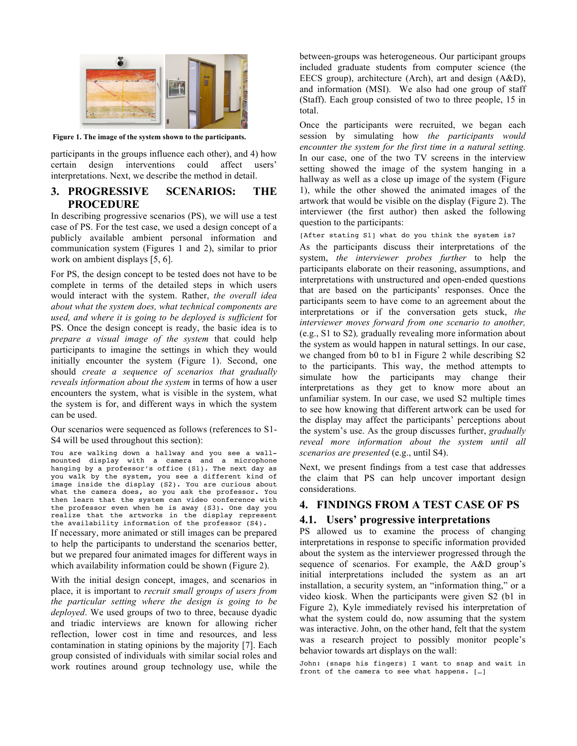

**Figure 1. The image of the system shown to the participants.**

participants in the groups influence each other), and 4) how certain design interventions could affect users' interpretations. Next, we describe the method in detail.

# **3. PROGRESSIVE SCENARIOS: THE PROCEDURE**

In describing progressive scenarios (PS), we will use a test case of PS. For the test case, we used a design concept of a publicly available ambient personal information and communication system (Figures 1 and 2), similar to prior work on ambient displays [5, 6].

For PS, the design concept to be tested does not have to be complete in terms of the detailed steps in which users would interact with the system. Rather, *the overall idea about what the system does, what technical components are used, and where it is going to be deployed is sufficient* for PS. Once the design concept is ready, the basic idea is to *prepare a visual image of the system* that could help participants to imagine the settings in which they would initially encounter the system (Figure 1). Second, one should *create a sequence of scenarios that gradually reveals information about the system* in terms of how a user encounters the system, what is visible in the system, what the system is for, and different ways in which the system can be used.

Our scenarios were sequenced as follows (references to S1- S4 will be used throughout this section):

You are walking down a hallway and you see a wallmounted display with a camera and a microphone hanging by a professor's office (S1). The next day as you walk by the system, you see a different kind of image inside the display (S2). You are curious about what the camera does, so you ask the professor. You then learn that the system can video conference with the professor even when he is away (S3). One day you realize that the artworks in the display represent the availability information of the professor (S4). If necessary, more animated or still images can be prepared to help the participants to understand the scenarios better,

but we prepared four animated images for different ways in which availability information could be shown (Figure 2).

With the initial design concept, images, and scenarios in place, it is important to *recruit small groups of users from the particular setting where the design is going to be deployed*. We used groups of two to three, because dyadic and triadic interviews are known for allowing richer reflection, lower cost in time and resources, and less contamination in stating opinions by the majority [7]. Each group consisted of individuals with similar social roles and work routines around group technology use, while the between-groups was heterogeneous. Our participant groups included graduate students from computer science (the EECS group), architecture (Arch), art and design (A&D), and information (MSI). We also had one group of staff (Staff). Each group consisted of two to three people, 15 in total.

Once the participants were recruited, we began each session by simulating how *the participants would encounter the system for the first time in a natural setting.*  In our case, one of the two TV screens in the interview setting showed the image of the system hanging in a hallway as well as a close up image of the system (Figure 1), while the other showed the animated images of the artwork that would be visible on the display (Figure 2). The interviewer (the first author) then asked the following question to the participants:

[After stating S1] what do you think the system is?

As the participants discuss their interpretations of the system, *the interviewer probes further* to help the participants elaborate on their reasoning, assumptions, and interpretations with unstructured and open-ended questions that are based on the participants' responses. Once the participants seem to have come to an agreement about the interpretations or if the conversation gets stuck, *the interviewer moves forward from one scenario to another,*  (e.g., S1 to S2)*,* gradually revealing more information about the system as would happen in natural settings. In our case, we changed from b0 to b1 in Figure 2 while describing S2 to the participants. This way, the method attempts to simulate how the participants may change their interpretations as they get to know more about an unfamiliar system. In our case, we used S2 multiple times to see how knowing that different artwork can be used for the display may affect the participants' perceptions about the system's use. As the group discusses further, *gradually reveal more information about the system until all scenarios are presented* (e.g., until S4).

Next, we present findings from a test case that addresses the claim that PS can help uncover important design considerations.

# **4. FINDINGS FROM A TEST CASE OF PS**

#### **4.1. Users' progressive interpretations**

PS allowed us to examine the process of changing interpretations in response to specific information provided about the system as the interviewer progressed through the sequence of scenarios. For example, the A&D group's initial interpretations included the system as an art installation, a security system, an "information thing," or a video kiosk. When the participants were given S2 (b1 in Figure 2), Kyle immediately revised his interpretation of what the system could do, now assuming that the system was interactive. John, on the other hand, felt that the system was a research project to possibly monitor people's behavior towards art displays on the wall:

John: (snaps his fingers) I want to snap and wait in front of the camera to see what happens. […]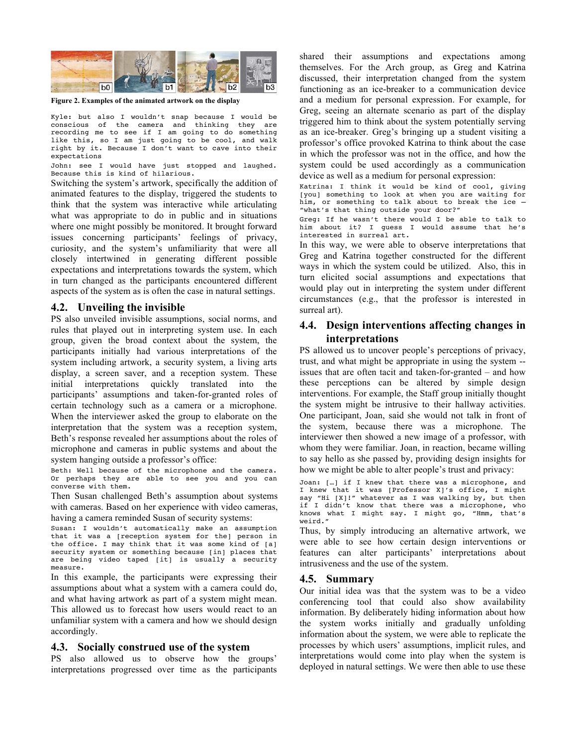

**Figure 2. Examples of the animated artwork on the display**

Kyle: but also I wouldn't snap because I would be conscious of the camera and thinking they are recording me to see if I am going to do something like this, so I am just going to be cool, and walk right by it. Because I don't want to cave into their expectations

John: see I would have just stopped and laughed. Because this is kind of hilarious.

Switching the system's artwork, specifically the addition of animated features to the display, triggered the students to think that the system was interactive while articulating what was appropriate to do in public and in situations where one might possibly be monitored. It brought forward issues concerning participants' feelings of privacy, curiosity, and the system's unfamiliarity that were all closely intertwined in generating different possible expectations and interpretations towards the system, which in turn changed as the participants encountered different aspects of the system as is often the case in natural settings.

#### **4.2. Unveiling the invisible**

PS also unveiled invisible assumptions, social norms, and rules that played out in interpreting system use. In each group, given the broad context about the system, the participants initially had various interpretations of the system including artwork, a security system, a living arts display, a screen saver, and a reception system. These initial interpretations quickly translated into the participants' assumptions and taken-for-granted roles of certain technology such as a camera or a microphone. When the interviewer asked the group to elaborate on the interpretation that the system was a reception system, Beth's response revealed her assumptions about the roles of microphone and cameras in public systems and about the system hanging outside a professor's office:

Beth: Well because of the microphone and the camera. Or perhaps they are able to see you and you can converse with them.

Then Susan challenged Beth's assumption about systems with cameras. Based on her experience with video cameras, having a camera reminded Susan of security systems:

Susan: I wouldn't automatically make an assumption that it was a [reception system for the] person in the office. I may think that it was some kind of [a] security system or something because [in] places that are being video taped [it] is usually a security measure.

In this example, the participants were expressing their assumptions about what a system with a camera could do, and what having artwork as part of a system might mean. This allowed us to forecast how users would react to an unfamiliar system with a camera and how we should design accordingly.

#### **4.3. Socially construed use of the system**

PS also allowed us to observe how the groups' interpretations progressed over time as the participants shared their assumptions and expectations among themselves. For the Arch group, as Greg and Katrina discussed, their interpretation changed from the system functioning as an ice-breaker to a communication device and a medium for personal expression. For example, for Greg, seeing an alternate scenario as part of the display triggered him to think about the system potentially serving as an ice-breaker. Greg's bringing up a student visiting a professor's office provoked Katrina to think about the case in which the professor was not in the office, and how the system could be used accordingly as a communication device as well as a medium for personal expression:

Katrina: I think it would be kind of cool, giving [you] something to look at when you are waiting for him, or something to talk about to break the ice – "what's that thing outside your door?"

Greg: If he wasn't there would I be able to talk to him about it? I guess I would assume that he's interested in surreal art.

In this way, we were able to observe interpretations that Greg and Katrina together constructed for the different ways in which the system could be utilized. Also, this in turn elicited social assumptions and expectations that would play out in interpreting the system under different circumstances (e.g., that the professor is interested in surreal art).

# **4.4. Design interventions affecting changes in interpretations**

PS allowed us to uncover people's perceptions of privacy, trust, and what might be appropriate in using the system - issues that are often tacit and taken-for-granted – and how these perceptions can be altered by simple design interventions. For example, the Staff group initially thought the system might be intrusive to their hallway activities. One participant, Joan, said she would not talk in front of the system, because there was a microphone. The interviewer then showed a new image of a professor, with whom they were familiar. Joan, in reaction, became willing to say hello as she passed by, providing design insights for how we might be able to alter people's trust and privacy:

```
Joan: […] if I knew that there was a microphone, and 
I knew that it was [Professor X]'s office, I might 
say "Hi [X]!" whatever as I was walking by, but then 
if I didn't know that there was a microphone, who
knows what I might say. I might go, "Hmm, that's 
weird."
```
Thus, by simply introducing an alternative artwork, we were able to see how certain design interventions or features can alter participants' interpretations about intrusiveness and the use of the system.

#### **4.5. Summary**

Our initial idea was that the system was to be a video conferencing tool that could also show availability information. By deliberately hiding information about how the system works initially and gradually unfolding information about the system, we were able to replicate the processes by which users' assumptions, implicit rules, and interpretations would come into play when the system is deployed in natural settings. We were then able to use these